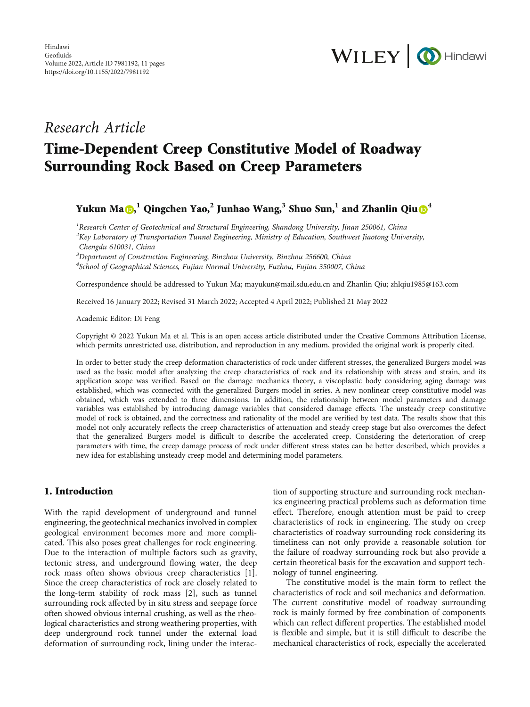

## Research Article

# Time-Dependent Creep Constitutive Model of Roadway Surrounding Rock Based on Creep Parameters

Yukun Ma [,](https://orcid.org/0000-0001-9300-7671) **<sup>1</sup>** Qingchen Yao,**<sup>2</sup>** Junhao Wang,**<sup>3</sup>** Shuo Sun,**<sup>1</sup>** and Zhanlin Qiu **<sup>4</sup>**

<sup>1</sup> Research Center of Geotechnical and Structural Engineering, Shandong University, Jinan 250061, China  ${}^{2}$ Key Laboratory of Transportation Tunnel Engineering, Ministry of Education, Southwest Jiaotong University, Chengdu 610031, China

<sup>3</sup>Department of Construction Engineering, Binzhou University, Binzhou 256600, China <sup>4</sup>School of Geographical Sciences, Fujian Normal University, Fuzhou, Fujian 350007, China

Correspondence should be addressed to Yukun Ma; mayukun@mail.sdu.edu.cn and Zhanlin Qiu; zhlqiu1985@163.com

Received 16 January 2022; Revised 31 March 2022; Accepted 4 April 2022; Published 21 May 2022

Academic Editor: Di Feng

Copyright © 2022 Yukun Ma et al. This is an open access article distributed under the [Creative Commons Attribution License](https://creativecommons.org/licenses/by/4.0/), which permits unrestricted use, distribution, and reproduction in any medium, provided the original work is properly cited.

In order to better study the creep deformation characteristics of rock under different stresses, the generalized Burgers model was used as the basic model after analyzing the creep characteristics of rock and its relationship with stress and strain, and its application scope was verified. Based on the damage mechanics theory, a viscoplastic body considering aging damage was established, which was connected with the generalized Burgers model in series. A new nonlinear creep constitutive model was obtained, which was extended to three dimensions. In addition, the relationship between model parameters and damage variables was established by introducing damage variables that considered damage effects. The unsteady creep constitutive model of rock is obtained, and the correctness and rationality of the model are verified by test data. The results show that this model not only accurately reflects the creep characteristics of attenuation and steady creep stage but also overcomes the defect that the generalized Burgers model is difficult to describe the accelerated creep. Considering the deterioration of creep parameters with time, the creep damage process of rock under different stress states can be better described, which provides a new idea for establishing unsteady creep model and determining model parameters.

## 1. Introduction

With the rapid development of underground and tunnel engineering, the geotechnical mechanics involved in complex geological environment becomes more and more complicated. This also poses great challenges for rock engineering. Due to the interaction of multiple factors such as gravity, tectonic stress, and underground flowing water, the deep rock mass often shows obvious creep characteristics [[1](#page-9-0)]. Since the creep characteristics of rock are closely related to the long-term stability of rock mass [\[2\]](#page-9-0), such as tunnel surrounding rock affected by in situ stress and seepage force often showed obvious internal crushing, as well as the rheological characteristics and strong weathering properties, with deep underground rock tunnel under the external load deformation of surrounding rock, lining under the interac-

tion of supporting structure and surrounding rock mechanics engineering practical problems such as deformation time effect. Therefore, enough attention must be paid to creep characteristics of rock in engineering. The study on creep characteristics of roadway surrounding rock considering its timeliness can not only provide a reasonable solution for the failure of roadway surrounding rock but also provide a certain theoretical basis for the excavation and support technology of tunnel engineering.

The constitutive model is the main form to reflect the characteristics of rock and soil mechanics and deformation. The current constitutive model of roadway surrounding rock is mainly formed by free combination of components which can reflect different properties. The established model is flexible and simple, but it is still difficult to describe the mechanical characteristics of rock, especially the accelerated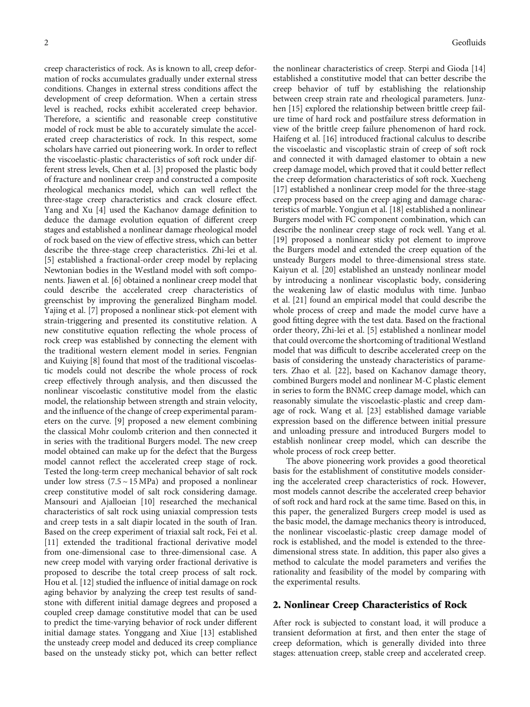creep characteristics of rock. As is known to all, creep deformation of rocks accumulates gradually under external stress conditions. Changes in external stress conditions affect the development of creep deformation. When a certain stress level is reached, rocks exhibit accelerated creep behavior. Therefore, a scientific and reasonable creep constitutive model of rock must be able to accurately simulate the accelerated creep characteristics of rock. In this respect, some scholars have carried out pioneering work. In order to reflect the viscoelastic-plastic characteristics of soft rock under different stress levels, Chen et al. [[3\]](#page-9-0) proposed the plastic body of fracture and nonlinear creep and constructed a composite rheological mechanics model, which can well reflect the three-stage creep characteristics and crack closure effect. Yang and Xu [[4\]](#page-9-0) used the Kachanov damage definition to deduce the damage evolution equation of different creep stages and established a nonlinear damage rheological model of rock based on the view of effective stress, which can better describe the three-stage creep characteristics. Zhi-lei et al. [\[5](#page-9-0)] established a fractional-order creep model by replacing Newtonian bodies in the Westland model with soft components. Jiawen et al. [\[6](#page-9-0)] obtained a nonlinear creep model that could describe the accelerated creep characteristics of greenschist by improving the generalized Bingham model. Yajing et al. [\[7\]](#page-10-0) proposed a nonlinear stick-pot element with strain-triggering and presented its constitutive relation. A new constitutive equation reflecting the whole process of rock creep was established by connecting the element with the traditional western element model in series. Fengnian and Kuiying [\[8](#page-10-0)] found that most of the traditional viscoelastic models could not describe the whole process of rock creep effectively through analysis, and then discussed the nonlinear viscoelastic constitutive model from the elastic model, the relationship between strength and strain velocity, and the influence of the change of creep experimental parameters on the curve. [[9\]](#page-10-0) proposed a new element combining the classical Mohr coulomb criterion and then connected it in series with the traditional Burgers model. The new creep model obtained can make up for the defect that the Burgess model cannot reflect the accelerated creep stage of rock. Tested the long-term creep mechanical behavior of salt rock under low stress  $(7.5 \sim 15 \text{ MPa})$  and proposed a nonlinear creep constitutive model of salt rock considering damage. Mansouri and Ajalloeian [[10](#page-10-0)] researched the mechanical characteristics of salt rock using uniaxial compression tests and creep tests in a salt diapir located in the south of Iran. Based on the creep experiment of triaxial salt rock, Fei et al. [\[11](#page-10-0)] extended the traditional fractional derivative model from one-dimensional case to three-dimensional case. A new creep model with varying order fractional derivative is proposed to describe the total creep process of salt rock. Hou et al. [[12](#page-10-0)] studied the influence of initial damage on rock aging behavior by analyzing the creep test results of sandstone with different initial damage degrees and proposed a coupled creep damage constitutive model that can be used to predict the time-varying behavior of rock under different initial damage states. Yonggang and Xiue [\[13\]](#page-10-0) established the unsteady creep model and deduced its creep compliance based on the unsteady sticky pot, which can better reflect

the nonlinear characteristics of creep. Sterpi and Gioda [[14\]](#page-10-0) established a constitutive model that can better describe the creep behavior of tuff by establishing the relationship between creep strain rate and rheological parameters. Junz-hen [[15\]](#page-10-0) explored the relationship between brittle creep failure time of hard rock and postfailure stress deformation in view of the brittle creep failure phenomenon of hard rock. Haifeng et al. [[16](#page-10-0)] introduced fractional calculus to describe the viscoelastic and viscoplastic strain of creep of soft rock and connected it with damaged elastomer to obtain a new creep damage model, which proved that it could better reflect the creep deformation characteristics of soft rock. Xuecheng [\[17](#page-10-0)] established a nonlinear creep model for the three-stage creep process based on the creep aging and damage characteristics of marble. Yongjun et al. [\[18\]](#page-10-0) established a nonlinear Burgers model with FC component combination, which can describe the nonlinear creep stage of rock well. Yang et al. [\[19](#page-10-0)] proposed a nonlinear sticky pot element to improve the Burgers model and extended the creep equation of the unsteady Burgers model to three-dimensional stress state. Kaiyun et al. [[20](#page-10-0)] established an unsteady nonlinear model by introducing a nonlinear viscoplastic body, considering the weakening law of elastic modulus with time. Junbao et al. [[21](#page-10-0)] found an empirical model that could describe the whole process of creep and made the model curve have a good fitting degree with the test data. Based on the fractional order theory, Zhi-lei et al. [[5\]](#page-9-0) established a nonlinear model that could overcome the shortcoming of traditional Westland model that was difficult to describe accelerated creep on the basis of considering the unsteady characteristics of parameters. Zhao et al. [[22](#page-10-0)], based on Kachanov damage theory, combined Burgers model and nonlinear M-C plastic element in series to form the BNMC creep damage model, which can reasonably simulate the viscoelastic-plastic and creep damage of rock. Wang et al. [[23](#page-10-0)] established damage variable expression based on the difference between initial pressure and unloading pressure and introduced Burgers model to establish nonlinear creep model, which can describe the whole process of rock creep better.

The above pioneering work provides a good theoretical basis for the establishment of constitutive models considering the accelerated creep characteristics of rock. However, most models cannot describe the accelerated creep behavior of soft rock and hard rock at the same time. Based on this, in this paper, the generalized Burgers creep model is used as the basic model, the damage mechanics theory is introduced, the nonlinear viscoelastic-plastic creep damage model of rock is established, and the model is extended to the threedimensional stress state. In addition, this paper also gives a method to calculate the model parameters and verifies the rationality and feasibility of the model by comparing with the experimental results.

#### 2. Nonlinear Creep Characteristics of Rock

After rock is subjected to constant load, it will produce a transient deformation at first, and then enter the stage of creep deformation, which is generally divided into three stages: attenuation creep, stable creep and accelerated creep.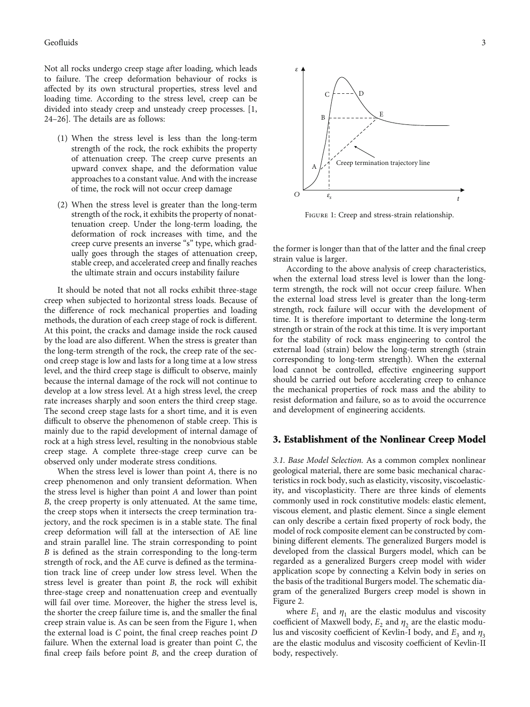### Geofluids 3

Not all rocks undergo creep stage after loading, which leads to failure. The creep deformation behaviour of rocks is affected by its own structural properties, stress level and loading time. According to the stress level, creep can be divided into steady creep and unsteady creep processes. [\[1,](#page-9-0) [24](#page-10-0)–[26](#page-10-0)]. The details are as follows:

- (1) When the stress level is less than the long-term strength of the rock, the rock exhibits the property of attenuation creep. The creep curve presents an upward convex shape, and the deformation value approaches to a constant value. And with the increase of time, the rock will not occur creep damage
- (2) When the stress level is greater than the long-term strength of the rock, it exhibits the property of nonattenuation creep. Under the long-term loading, the deformation of rock increases with time, and the creep curve presents an inverse "s" type, which gradually goes through the stages of attenuation creep, stable creep, and accelerated creep and finally reaches the ultimate strain and occurs instability failure

It should be noted that not all rocks exhibit three-stage creep when subjected to horizontal stress loads. Because of the difference of rock mechanical properties and loading methods, the duration of each creep stage of rock is different. At this point, the cracks and damage inside the rock caused by the load are also different. When the stress is greater than the long-term strength of the rock, the creep rate of the second creep stage is low and lasts for a long time at a low stress level, and the third creep stage is difficult to observe, mainly because the internal damage of the rock will not continue to develop at a low stress level. At a high stress level, the creep rate increases sharply and soon enters the third creep stage. The second creep stage lasts for a short time, and it is even difficult to observe the phenomenon of stable creep. This is mainly due to the rapid development of internal damage of rock at a high stress level, resulting in the nonobvious stable creep stage. A complete three-stage creep curve can be observed only under moderate stress conditions.

When the stress level is lower than point *A*, there is no creep phenomenon and only transient deformation. When the stress level is higher than point *A* and lower than point *B*, the creep property is only attenuated. At the same time, the creep stops when it intersects the creep termination trajectory, and the rock specimen is in a stable state. The final creep deformation will fall at the intersection of AE line and strain parallel line. The strain corresponding to point *B* is defined as the strain corresponding to the long-term strength of rock, and the AE curve is defined as the termination track line of creep under low stress level. When the stress level is greater than point *B*, the rock will exhibit three-stage creep and nonattenuation creep and eventually will fail over time. Moreover, the higher the stress level is, the shorter the creep failure time is, and the smaller the final creep strain value is. As can be seen from the Figure 1, when the external load is C point, the final creep reaches point *D* failure. When the external load is greater than point *C*, the final creep fails before point *B*, and the creep duration of



FIGURE 1: Creep and stress-strain relationship.

the former is longer than that of the latter and the final creep strain value is larger.

According to the above analysis of creep characteristics, when the external load stress level is lower than the longterm strength, the rock will not occur creep failure. When the external load stress level is greater than the long-term strength, rock failure will occur with the development of time. It is therefore important to determine the long-term strength or strain of the rock at this time. It is very important for the stability of rock mass engineering to control the external load (strain) below the long-term strength (strain corresponding to long-term strength). When the external load cannot be controlled, effective engineering support should be carried out before accelerating creep to enhance the mechanical properties of rock mass and the ability to resist deformation and failure, so as to avoid the occurrence and development of engineering accidents.

#### 3. Establishment of the Nonlinear Creep Model

3.1. Base Model Selection. As a common complex nonlinear geological material, there are some basic mechanical characteristics in rock body, such as elasticity, viscosity, viscoelasticity, and viscoplasticity. There are three kinds of elements commonly used in rock constitutive models: elastic element, viscous element, and plastic element. Since a single element can only describe a certain fixed property of rock body, the model of rock composite element can be constructed by combining different elements. The generalized Burgers model is developed from the classical Burgers model, which can be regarded as a generalized Burgers creep model with wider application scope by connecting a Kelvin body in series on the basis of the traditional Burgers model. The schematic diagram of the generalized Burgers creep model is shown in Figure [2.](#page-3-0)

where  $E_1$  and  $\eta_1$  are the elastic modulus and viscosity coefficient of Maxwell body,  $E_2$  and  $\eta_2$  are the elastic modulus and viscosity coefficient of Kevlin-I body, and  $E_3$  and  $\eta_3$ are the elastic modulus and viscosity coefficient of Kevlin-II body, respectively.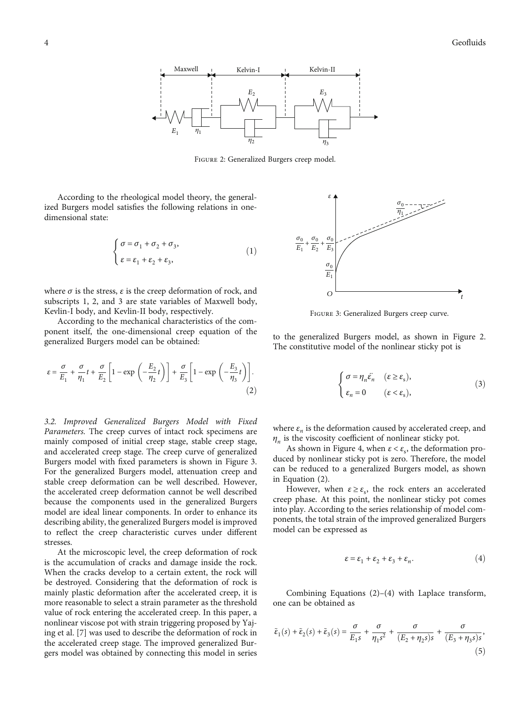<span id="page-3-0"></span>

Figure 2: Generalized Burgers creep model.

According to the rheological model theory, the generalized Burgers model satisfies the following relations in onedimensional state:

$$
\left\{ \begin{aligned} \sigma &= \sigma_1 + \sigma_2 + \sigma_3, \\ \epsilon &= \epsilon_1 + \epsilon_2 + \epsilon_3, \end{aligned} \right. \tag{1}
$$

where  $\sigma$  is the stress,  $\varepsilon$  is the creep deformation of rock, and subscripts 1, 2, and 3 are state variables of Maxwell body, Kevlin-І body, and Kevlin-II body, respectively.

According to the mechanical characteristics of the component itself, the one-dimensional creep equation of the generalized Burgers model can be obtained:

$$
\varepsilon = \frac{\sigma}{E_1} + \frac{\sigma}{\eta_1} t + \frac{\sigma}{E_2} \left[ 1 - \exp\left( -\frac{E_2}{\eta_2} t \right) \right] + \frac{\sigma}{E_3} \left[ 1 - \exp\left( -\frac{E_3}{\eta_3} t \right) \right].
$$
\n(2)

3.2. Improved Generalized Burgers Model with Fixed Parameters. The creep curves of intact rock specimens are mainly composed of initial creep stage, stable creep stage, and accelerated creep stage. The creep curve of generalized Burgers model with fixed parameters is shown in Figure 3. For the generalized Burgers model, attenuation creep and stable creep deformation can be well described. However, the accelerated creep deformation cannot be well described because the components used in the generalized Burgers model are ideal linear components. In order to enhance its describing ability, the generalized Burgers model is improved to reflect the creep characteristic curves under different stresses.

At the microscopic level, the creep deformation of rock is the accumulation of cracks and damage inside the rock. When the cracks develop to a certain extent, the rock will be destroyed. Considering that the deformation of rock is mainly plastic deformation after the accelerated creep, it is more reasonable to select a strain parameter as the threshold value of rock entering the accelerated creep. In this paper, a nonlinear viscose pot with strain triggering proposed by Yajing et al. [\[7\]](#page-10-0) was used to describe the deformation of rock in the accelerated creep stage. The improved generalized Burgers model was obtained by connecting this model in series



Figure 3: Generalized Burgers creep curve.

to the generalized Burgers model, as shown in Figure 2. The constitutive model of the nonlinear sticky pot is

$$
\begin{cases}\n\sigma = \eta_n \ddot{\varepsilon}_n & (\varepsilon \ge \varepsilon_s), \\
\varepsilon_n = 0 & (\varepsilon < \varepsilon_s),\n\end{cases} \tag{3}
$$

where  $\varepsilon_n$  is the deformation caused by accelerated creep, and *<sup>η</sup><sup>n</sup>* is the viscosity coefficient of nonlinear sticky pot.

As shown in Figure [4,](#page-4-0) when  $\varepsilon < \varepsilon$ , the deformation produced by nonlinear sticky pot is zero. Therefore, the model can be reduced to a generalized Burgers model, as shown in Equation (2).

However, when  $\varepsilon \geq \varepsilon_{s}$ , the rock enters an accelerated creep phase. At this point, the nonlinear sticky pot comes into play. According to the series relationship of model components, the total strain of the improved generalized Burgers model can be expressed as

$$
\varepsilon = \varepsilon_1 + \varepsilon_2 + \varepsilon_3 + \varepsilon_n. \tag{4}
$$

Combining Equations (2)–(4) with Laplace transform, one can be obtained as

$$
\tilde{\varepsilon}_1(s) + \tilde{\varepsilon}_2(s) + \tilde{\varepsilon}_3(s) = \frac{\sigma}{E_1 s} + \frac{\sigma}{\eta_1 s^2} + \frac{\sigma}{(E_2 + \eta_2 s)s} + \frac{\sigma}{(E_3 + \eta_3 s)s},\tag{5}
$$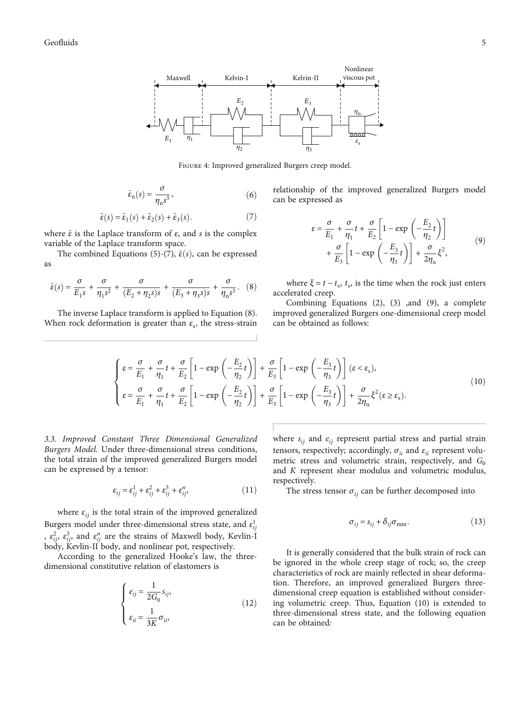<span id="page-4-0"></span>

Figure 4: Improved generalized Burgers creep model.

$$
\tilde{\varepsilon}_n(s) = \frac{\sigma}{\eta_n s^3},\tag{6}
$$

$$
\tilde{\varepsilon}(s) = \tilde{\varepsilon}_1(s) + \tilde{\varepsilon}_2(s) + \tilde{\varepsilon}_3(s). \tag{7}
$$

where ~*ε* is the Laplace transform of *ε*, and *s* is the complex variable of the Laplace transform space.

The combined Equations [\(5](#page-3-0))-(7),  $\tilde{\varepsilon}(s)$ , can be expressed as

$$
\tilde{\varepsilon}(s) = \frac{\sigma}{E_1 s} + \frac{\sigma}{\eta_1 s^2} + \frac{\sigma}{(E_2 + \eta_2 s)s} + \frac{\sigma}{(E_3 + \eta_3 s)s} + \frac{\sigma}{\eta_n s^3}.
$$
 (8)

The inverse Laplace transform is applied to Equation (8). When rock deformation is greater than  $\varepsilon_{s}$ , the stress-strain relationship of the improved generalized Burgers model can be expressed as

$$
\varepsilon = \frac{\sigma}{E_1} + \frac{\sigma}{\eta_1} t + \frac{\sigma}{E_2} \left[ 1 - \exp\left( -\frac{E_2}{\eta_2} t \right) \right] + \frac{\sigma}{E_3} \left[ 1 - \exp\left( -\frac{E_3}{\eta_3} t \right) \right] + \frac{\sigma}{2\eta_1} \xi^2,
$$
\n(9)

where  $\xi = t - t_s$ ,  $t_s$ , is the time when the rock just enters accelerated creep.

Combining Equations  $(2)$ ,  $(3)$  , and  $(9)$ , a complete improved generalized Burgers one-dimensional creep model can be obtained as follows:

$$
\begin{cases}\n\varepsilon = \frac{\sigma}{E_1} + \frac{\sigma}{\eta_1} t + \frac{\sigma}{E_2} \left[ 1 - \exp\left( -\frac{E_2}{\eta_2} t \right) \right] + \frac{\sigma}{E_3} \left[ 1 - \exp\left( -\frac{E_3}{\eta_3} t \right) \right] (\varepsilon < \varepsilon_s), \\
\varepsilon = \frac{\sigma}{E_1} + \frac{\sigma}{\eta_1} t + \frac{\sigma}{E_2} \left[ 1 - \exp\left( -\frac{E_2}{\eta_2} t \right) \right] + \frac{\sigma}{E_3} \left[ 1 - \exp\left( -\frac{E_3}{\eta_3} t \right) \right] + \frac{\sigma}{2\eta_n} \xi^2 (\varepsilon \ge \varepsilon_s).\n\end{cases} (10)
$$

3.3. Improved Constant Three Dimensional Generalized Burgers Model. Under three-dimensional stress conditions, the total strain of the improved generalized Burgers model can be expressed by a tensor:

$$
\varepsilon_{ij} = \varepsilon_{ij}^1 + \varepsilon_{ij}^2 + \varepsilon_{ij}^3 + \varepsilon_{ij}^n, \tag{11}
$$

where  $\varepsilon_{ii}$  is the total strain of the improved generalized Burgers model under three-dimensional stress state, and  $\varepsilon_{ij}^1$ ,  $\varepsilon_{ij}^2$ ,  $\varepsilon_{ij}^3$ , and  $\varepsilon_{ij}^n$  are the strains of Maxwell body, Kevlin-I body, Kevlin-II body, and nonlinear pot, respectively.

According to the generalized Hooke's law, the threedimensional constitutive relation of elastomers is

$$
\begin{cases}\n e_{ij} = \frac{1}{2G_0} s_{ij}, \\
 \varepsilon_{ii} = \frac{1}{3K} \sigma_{ii},\n\end{cases}
$$
\n(12)

where  $s_{ii}$  and  $e_{ii}$  represent partial stress and partial strain tensors, respectively; accordingly,  $\sigma_{ii}$  and  $\varepsilon_{ii}$  represent volumetric stress and volumetric strain, respectively, and *G*<sub>0</sub> and *K* represent shear modulus and volumetric modulus, respectively.

The stress tensor  $\sigma_{ij}$  can be further decomposed into

$$
\sigma_{ij} = s_{ij} + \delta_{ij}\sigma_{\text{mm}}.\tag{13}
$$

It is generally considered that the bulk strain of rock can be ignored in the whole creep stage of rock; so, the creep characteristics of rock are mainly reflected in shear deformation. Therefore, an improved generalized Burgers threedimensional creep equation is established without considering volumetric creep. Thus, Equation (10) is extended to three-dimensional stress state, and the following equation can be obtained: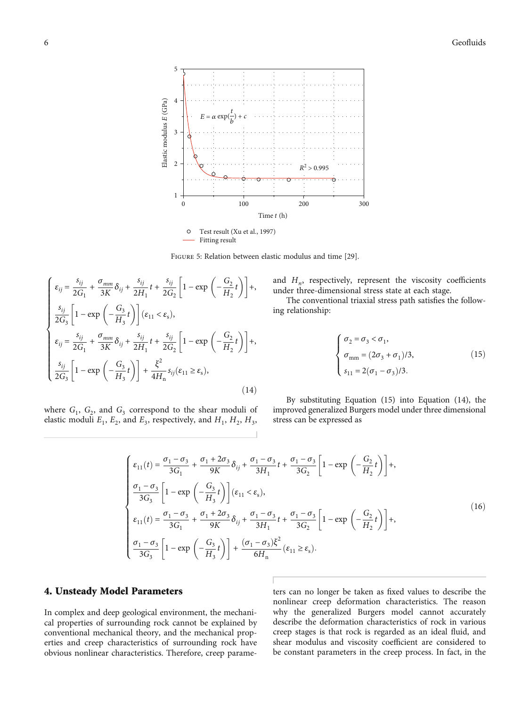<span id="page-5-0"></span>

Figure 5: Relation between elastic modulus and time [[29](#page-10-0)].

$$
\begin{cases}\n\varepsilon_{ij} = \frac{s_{ij}}{2G_1} + \frac{\sigma_{mm}}{3K} \delta_{ij} + \frac{s_{ij}}{2H_1} t + \frac{s_{ij}}{2G_2} \left[ 1 - \exp\left( -\frac{G_2}{H_2} t \right) \right], \\
\frac{s_{ij}}{2G_3} \left[ 1 - \exp\left( -\frac{G_3}{H_3} t \right) \right] (\varepsilon_{11} < \varepsilon_s), \\
\varepsilon_{ij} = \frac{s_{ij}}{2G_1} + \frac{\sigma_{mm}}{3K} \delta_{ij} + \frac{s_{ij}}{2H_1} t + \frac{s_{ij}}{2G_2} \left[ 1 - \exp\left( -\frac{G_2}{H_2} t \right) \right], \\
\frac{s_{ij}}{2G_3} \left[ 1 - \exp\left( -\frac{G_3}{H_3} t \right) \right] + \frac{\xi^2}{4H_n} s_{ij} (\varepsilon_{11} \ge \varepsilon_s),\n\end{cases} \tag{14}
$$

where  $G_1$ ,  $G_2$ , and  $G_3$  correspond to the shear moduli of elastic moduli  $E_1$ ,  $E_2$ , and  $E_3$ , respectively, and  $H_1$ ,  $H_2$ ,  $H_3$ ,

and *H<sub>n</sub>*, respectively, represent the viscosity coefficients under three-dimensional stress state at each stage.

The conventional triaxial stress path satisfies the following relationship:

$$
\left\{ \begin{aligned} &\sigma_2 = \sigma_3 < \sigma_1, \\ &\sigma_{\rm mm} = (2\sigma_3 + \sigma_1)/3, \\ &s_{11} = 2(\sigma_1 - \sigma_3)/3. \end{aligned} \right. \tag{15}
$$

By substituting Equation (15) into Equation (14), the improved generalized Burgers model under three dimensional stress can be expressed as

$$
\begin{cases}\n\varepsilon_{11}(t) = \frac{\sigma_1 - \sigma_3}{3G_1} + \frac{\sigma_1 + 2\sigma_3}{9K}\delta_{ij} + \frac{\sigma_1 - \sigma_3}{3H_1}t + \frac{\sigma_1 - \sigma_3}{3G_2} \left[1 - \exp\left(-\frac{G_2}{H_2}t\right)\right] + \\
\frac{\sigma_1 - \sigma_3}{3G_3} \left[1 - \exp\left(-\frac{G_3}{H_3}t\right)\right](\varepsilon_{11} < \varepsilon_s), \\
\varepsilon_{11}(t) = \frac{\sigma_1 - \sigma_3}{3G_1} + \frac{\sigma_1 + 2\sigma_3}{9K}\delta_{ij} + \frac{\sigma_1 - \sigma_3}{3H_1}t + \frac{\sigma_1 - \sigma_3}{3G_2} \left[1 - \exp\left(-\frac{G_2}{H_2}t\right)\right] + \\
\frac{\sigma_1 - \sigma_3}{3G_3} \left[1 - \exp\left(-\frac{G_3}{H_3}t\right)\right] + \frac{(\sigma_1 - \sigma_3)\xi^2}{6H_n}(\varepsilon_{11} \ge \varepsilon_s).\n\end{cases} (16)
$$

#### 4. Unsteady Model Parameters

In complex and deep geological environment, the mechanical properties of surrounding rock cannot be explained by conventional mechanical theory, and the mechanical properties and creep characteristics of surrounding rock have obvious nonlinear characteristics. Therefore, creep parame-

ters can no longer be taken as fixed values to describe the nonlinear creep deformation characteristics. The reason why the generalized Burgers model cannot accurately describe the deformation characteristics of rock in various creep stages is that rock is regarded as an ideal fluid, and shear modulus and viscosity coefficient are considered to be constant parameters in the creep process. In fact, in the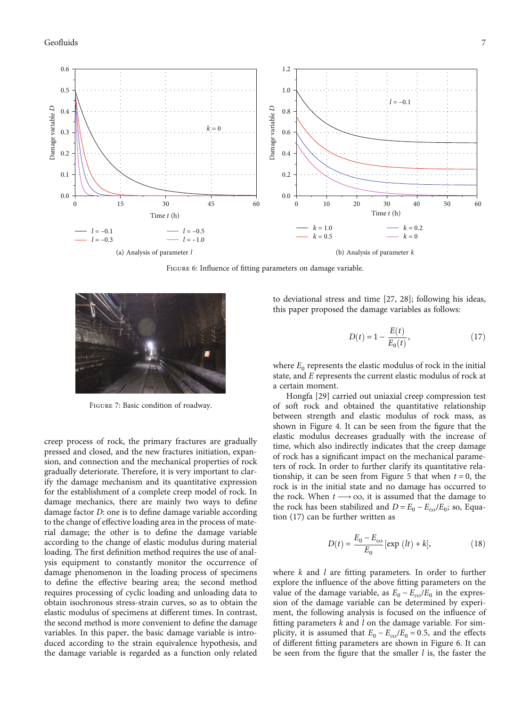<span id="page-6-0"></span>

FIGURE 6: Influence of fitting parameters on damage variable.



Figure 7: Basic condition of roadway.

creep process of rock, the primary fractures are gradually pressed and closed, and the new fractures initiation, expansion, and connection and the mechanical properties of rock gradually deteriorate. Therefore, it is very important to clarify the damage mechanism and its quantitative expression for the establishment of a complete creep model of rock. In damage mechanics, there are mainly two ways to define damage factor *D*: one is to define damage variable according to the change of effective loading area in the process of material damage; the other is to define the damage variable according to the change of elastic modulus during material loading. The first definition method requires the use of analysis equipment to constantly monitor the occurrence of damage phenomenon in the loading process of specimens to define the effective bearing area; the second method requires processing of cyclic loading and unloading data to obtain isochronous stress-strain curves, so as to obtain the elastic modulus of specimens at different times. In contrast, the second method is more convenient to define the damage variables. In this paper, the basic damage variable is introduced according to the strain equivalence hypothesis, and the damage variable is regarded as a function only related

to deviational stress and time [\[27, 28](#page-10-0)]; following his ideas, this paper proposed the damage variables as follows:

$$
D(t) = 1 - \frac{E(t)}{E_0(t)},
$$
\n(17)

where  $E_0$  represents the elastic modulus of rock in the initial state, and *E* represents the current elastic modulus of rock at a certain moment.

Hongfa [\[29\]](#page-10-0) carried out uniaxial creep compression test of soft rock and obtained the quantitative relationship between strength and elastic modulus of rock mass, as shown in Figure [4](#page-4-0). It can be seen from the figure that the elastic modulus decreases gradually with the increase of time, which also indirectly indicates that the creep damage of rock has a significant impact on the mechanical parameters of rock. In order to further clarify its quantitative rela-tionship, it can be seen from Figure [5](#page-5-0) that when  $t = 0$ , the rock is in the initial state and no damage has occurred to the rock. When  $t \rightarrow \infty$ , it is assumed that the damage to the rock has been stabilized and  $D = E_0 - E_{\infty}/E_0$ ; so, Equation (17) can be further written as

$$
D(t) = \frac{E_0 - E_{\infty}}{E_0} [\exp (lt) + k],
$$
 (18)

where *k* and *l* are fitting parameters. In order to further explore the influence of the above fitting parameters on the value of the damage variable, as  $E_0 - E_{\infty}/E_0$  in the expression of the damage variable can be determined by experiment, the following analysis is focused on the influence of fitting parameters *k* and *l* on the damage variable. For simplicity, it is assumed that  $E_0 - E_{\infty}/E_0 = 0.5$ , and the effects of different fitting parameters are shown in Figure 6. It can be seen from the figure that the smaller *l* is, the faster the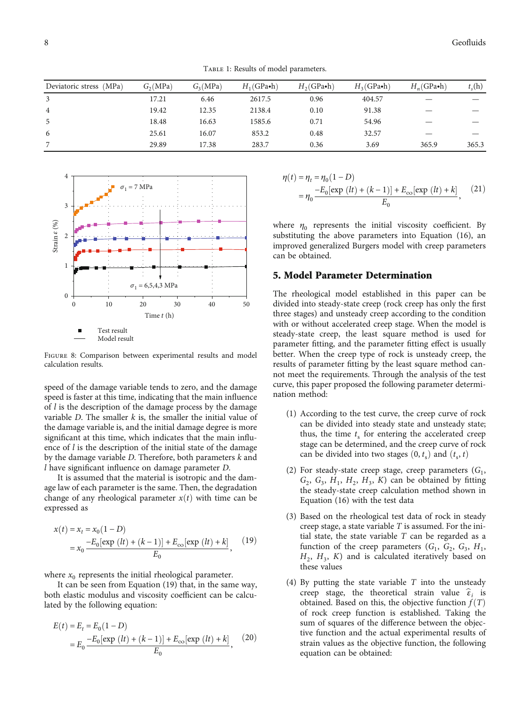TABLE 1: Results of model parameters.

<span id="page-7-0"></span>

| Deviatoric stress (MPa) | $G_2(MPa)$ | $G_2(MPa)$ | $H_1$ (GPa•h) | $H_2$ (GPa•h) | $H_3$ (GPa•h) | $H_n$ (GPa•h) | $t_{s}$ (h) |
|-------------------------|------------|------------|---------------|---------------|---------------|---------------|-------------|
| 3                       | 17.21      | 6.46       | 2617.5        | 0.96          | 404.57        |               |             |
| $\overline{4}$          | 19.42      | 12.35      | 2138.4        | 0.10          | 91.38         |               |             |
| -5                      | 18.48      | 16.63      | 1585.6        | 0.71          | 54.96         |               |             |
| 6                       | 25.61      | 16.07      | 853.2         | 0.48          | 32.57         |               |             |
| 7                       | 29.89      | 17.38      | 283.7         | 0.36          | 3.69          | 365.9         | 365.3       |



Figure 8: Comparison between experimental results and model calculation results.

speed of the damage variable tends to zero, and the damage speed is faster at this time, indicating that the main influence of *l* is the description of the damage process by the damage variable *D*. The smaller *k* is, the smaller the initial value of the damage variable is, and the initial damage degree is more significant at this time, which indicates that the main influence of *l* is the description of the initial state of the damage by the damage variable *D*. Therefore, both parameters *k* and *l* have significant influence on damage parameter *D*.

It is assumed that the material is isotropic and the damage law of each parameter is the same. Then, the degradation change of any rheological parameter  $x(t)$  with time can be expressed as

$$
x(t) = x_t = x_0(1 - D)
$$
  
=  $x_0 \frac{-E_0[\exp (lt) + (k-1)] + E_{\infty}[\exp (lt) + k]}{E_0},$  (19)

where  $x_0$  represents the initial rheological parameter.

It can be seen from Equation (19) that, in the same way, both elastic modulus and viscosity coefficient can be calculated by the following equation:

$$
E(t) = E_t = E_0 (1 - D)
$$
  
=  $E_0 \frac{-E_0 [\exp (lt) + (k - 1)] + E_{\infty} [\exp (lt) + k]}{E_0}$ , (20)

$$
\eta(t) = \eta_t = \eta_0 (1 - D)
$$
  
= 
$$
\eta_0 \frac{-E_0[\exp (lt) + (k - 1)] + E_{\infty}[\exp (lt) + k]}{E_0},
$$
 (21)

where  $\eta_0$  represents the initial viscosity coefficient. By substituting the above parameters into Equation [\(16\)](#page-5-0), an improved generalized Burgers model with creep parameters can be obtained.

#### 5. Model Parameter Determination

The rheological model established in this paper can be divided into steady-state creep (rock creep has only the first three stages) and unsteady creep according to the condition with or without accelerated creep stage. When the model is steady-state creep, the least square method is used for parameter fitting, and the parameter fitting effect is usually better. When the creep type of rock is unsteady creep, the results of parameter fitting by the least square method cannot meet the requirements. Through the analysis of the test curve, this paper proposed the following parameter determination method:

- (1) According to the test curve, the creep curve of rock can be divided into steady state and unsteady state; thus, the time  $t_s$  for entering the accelerated creep stage can be determined, and the creep curve of rock can be divided into two stages  $(0, t_s)$  and  $(t_s, t)$
- (2) For steady-state creep stage, creep parameters  $(G_1,$  $G_2$ ,  $G_3$ ,  $H_1$ ,  $H_2$ ,  $H_3$ ,  $K$ ) can be obtained by fitting the steady-state creep calculation method shown in Equation ([16](#page-5-0)) with the test data
- (3) Based on the rheological test data of rock in steady creep stage, a state variable *T* is assumed. For the initial state, the state variable *T* can be regarded as a function of the creep parameters  $(G_1, G_2, G_3, H_1,$  $H_2$ ,  $H_3$ ,  $K$ ) and is calculated iteratively based on these values
- (4) By putting the state variable *T* into the unsteady creep stage, the theoretical strain value  $\hat{\varepsilon}_i$  is obtained. Based on this, the objective function  $f(T)$ of rock creep function is established. Taking the sum of squares of the difference between the objective function and the actual experimental results of strain values as the objective function, the following equation can be obtained: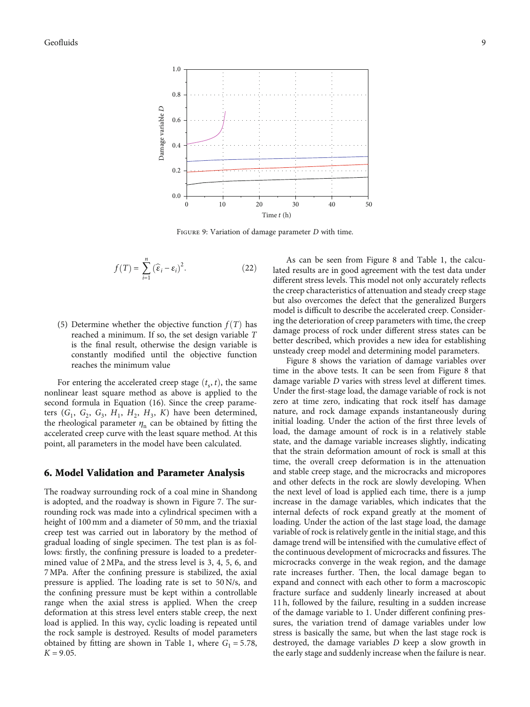<span id="page-8-0"></span>

Figure 9: Variation of damage parameter *<sup>D</sup>* with time.

$$
f(T) = \sum_{i=1}^{n} (\widehat{\varepsilon}_i - \varepsilon_i)^2.
$$
 (22)

(5) Determine whether the objective function  $f(T)$  has reached a minimum. If so, the set design variable *T* is the final result, otherwise the design variable is constantly modified until the objective function reaches the minimum value

For entering the accelerated creep stage  $(t_s, t)$ , the same nonlinear least square method as above is applied to the second formula in Equation [\(16\)](#page-5-0). Since the creep parameters  $(G_1, G_2, G_3, H_1, H_2, H_3, K)$  have been determined, the rheological parameter  $\eta_n$  can be obtained by fitting the accelerated creep curve with the least square method. At this point, all parameters in the model have been calculated.

#### 6. Model Validation and Parameter Analysis

The roadway surrounding rock of a coal mine in Shandong is adopted, and the roadway is shown in Figure [7.](#page-6-0) The surrounding rock was made into a cylindrical specimen with a height of 100 mm and a diameter of 50 mm, and the triaxial creep test was carried out in laboratory by the method of gradual loading of single specimen. The test plan is as follows: firstly, the confining pressure is loaded to a predetermined value of 2 MPa, and the stress level is 3, 4, 5, 6, and 7 MPa. After the confining pressure is stabilized, the axial pressure is applied. The loading rate is set to 50 N/s, and the confining pressure must be kept within a controllable range when the axial stress is applied. When the creep deformation at this stress level enters stable creep, the next load is applied. In this way, cyclic loading is repeated until the rock sample is destroyed. Results of model parameters obtained by fitting are shown in Table [1,](#page-7-0) where  $G_1 = 5.78$ ,  $K = 9.05$ .

As can be seen from Figure [8](#page-7-0) and Table [1](#page-7-0), the calculated results are in good agreement with the test data under different stress levels. This model not only accurately reflects the creep characteristics of attenuation and steady creep stage but also overcomes the defect that the generalized Burgers model is difficult to describe the accelerated creep. Considering the deterioration of creep parameters with time, the creep damage process of rock under different stress states can be better described, which provides a new idea for establishing unsteady creep model and determining model parameters.

Figure [8](#page-7-0) shows the variation of damage variables over time in the above tests. It can be seen from Figure [8](#page-7-0) that damage variable *D* varies with stress level at different times. Under the first-stage load, the damage variable of rock is not zero at time zero, indicating that rock itself has damage nature, and rock damage expands instantaneously during initial loading. Under the action of the first three levels of load, the damage amount of rock is in a relatively stable state, and the damage variable increases slightly, indicating that the strain deformation amount of rock is small at this time, the overall creep deformation is in the attenuation and stable creep stage, and the microcracks and micropores and other defects in the rock are slowly developing. When the next level of load is applied each time, there is a jump increase in the damage variables, which indicates that the internal defects of rock expand greatly at the moment of loading. Under the action of the last stage load, the damage variable of rock is relatively gentle in the initial stage, and this damage trend will be intensified with the cumulative effect of the continuous development of microcracks and fissures. The microcracks converge in the weak region, and the damage rate increases further. Then, the local damage began to expand and connect with each other to form a macroscopic fracture surface and suddenly linearly increased at about 11 h, followed by the failure, resulting in a sudden increase of the damage variable to 1. Under different confining pressures, the variation trend of damage variables under low stress is basically the same, but when the last stage rock is destroyed, the damage variables *D* keep a slow growth in the early stage and suddenly increase when the failure is near.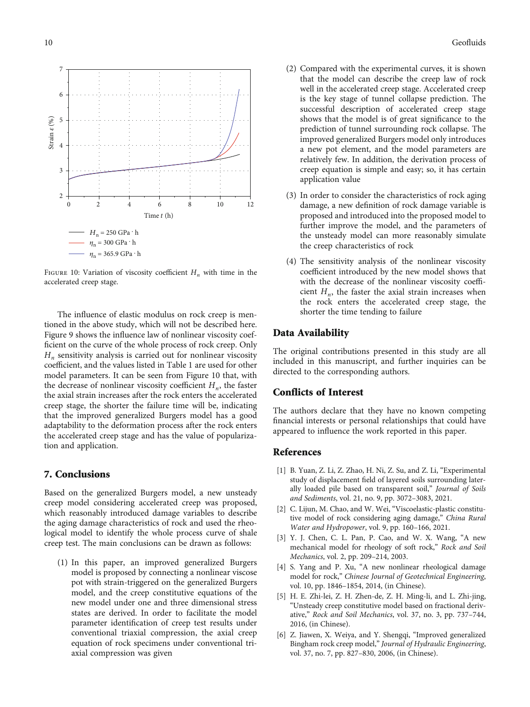<span id="page-9-0"></span>

FIGURE 10: Variation of viscosity coefficient  $H_n$  with time in the accelerated creep stage.

The influence of elastic modulus on rock creep is mentioned in the above study, which will not be described here. Figure [9](#page-8-0) shows the influence law of nonlinear viscosity coefficient on the curve of the whole process of rock creep. Only *Hn* sensitivity analysis is carried out for nonlinear viscosity coefficient, and the values listed in Table [1](#page-7-0) are used for other model parameters. It can be seen from Figure 10 that, with the decrease of nonlinear viscosity coefficient  $H_n$ , the faster the axial strain increases after the rock enters the accelerated creep stage, the shorter the failure time will be, indicating that the improved generalized Burgers model has a good adaptability to the deformation process after the rock enters the accelerated creep stage and has the value of popularization and application.

#### 7. Conclusions

Based on the generalized Burgers model, a new unsteady creep model considering accelerated creep was proposed, which reasonably introduced damage variables to describe the aging damage characteristics of rock and used the rheological model to identify the whole process curve of shale creep test. The main conclusions can be drawn as follows:

(1) In this paper, an improved generalized Burgers model is proposed by connecting a nonlinear viscose pot with strain-triggered on the generalized Burgers model, and the creep constitutive equations of the new model under one and three dimensional stress states are derived. In order to facilitate the model parameter identification of creep test results under conventional triaxial compression, the axial creep equation of rock specimens under conventional triaxial compression was given

- (2) Compared with the experimental curves, it is shown that the model can describe the creep law of rock well in the accelerated creep stage. Accelerated creep is the key stage of tunnel collapse prediction. The successful description of accelerated creep stage shows that the model is of great significance to the prediction of tunnel surrounding rock collapse. The improved generalized Burgers model only introduces a new pot element, and the model parameters are relatively few. In addition, the derivation process of creep equation is simple and easy; so, it has certain application value
- (3) In order to consider the characteristics of rock aging damage, a new definition of rock damage variable is proposed and introduced into the proposed model to further improve the model, and the parameters of the unsteady model can more reasonably simulate the creep characteristics of rock
- (4) The sensitivity analysis of the nonlinear viscosity coefficient introduced by the new model shows that with the decrease of the nonlinear viscosity coefficient  $H_n$ , the faster the axial strain increases when the rock enters the accelerated creep stage, the shorter the time tending to failure

#### Data Availability

The original contributions presented in this study are all included in this manuscript, and further inquiries can be directed to the corresponding authors.

#### Conflicts of Interest

The authors declare that they have no known competing financial interests or personal relationships that could have appeared to influence the work reported in this paper.

#### References

- [1] B. Yuan, Z. Li, Z. Zhao, H. Ni, Z. Su, and Z. Li, "Experimental study of displacement field of layered soils surrounding laterally loaded pile based on transparent soil," Journal of Soils and Sediments, vol. 21, no. 9, pp. 3072–3083, 2021.
- [2] C. Lijun, M. Chao, and W. Wei, "Viscoelastic-plastic constitutive model of rock considering aging damage," China Rural Water and Hydropower, vol. 9, pp. 160–166, 2021.
- [3] Y. J. Chen, C. L. Pan, P. Cao, and W. X. Wang, "A new mechanical model for rheology of soft rock," Rock and Soil Mechanics, vol. 2, pp. 209–214, 2003.
- [4] S. Yang and P. Xu, "A new nonlinear rheological damage model for rock," Chinese Journal of Geotechnical Engineering, vol. 10, pp. 1846–1854, 2014, (in Chinese).
- [5] H. E. Zhi-lei, Z. H. Zhen-de, Z. H. Ming-li, and L. Zhi-jing, "Unsteady creep constitutive model based on fractional derivative," Rock and Soil Mechanics, vol. 37, no. 3, pp. 737–744, 2016, (in Chinese).
- [6] Z. Jiawen, X. Weiya, and Y. Shengqi, "Improved generalized Bingham rock creep model," Journal of Hydraulic Engineering, vol. 37, no. 7, pp. 827–830, 2006, (in Chinese).